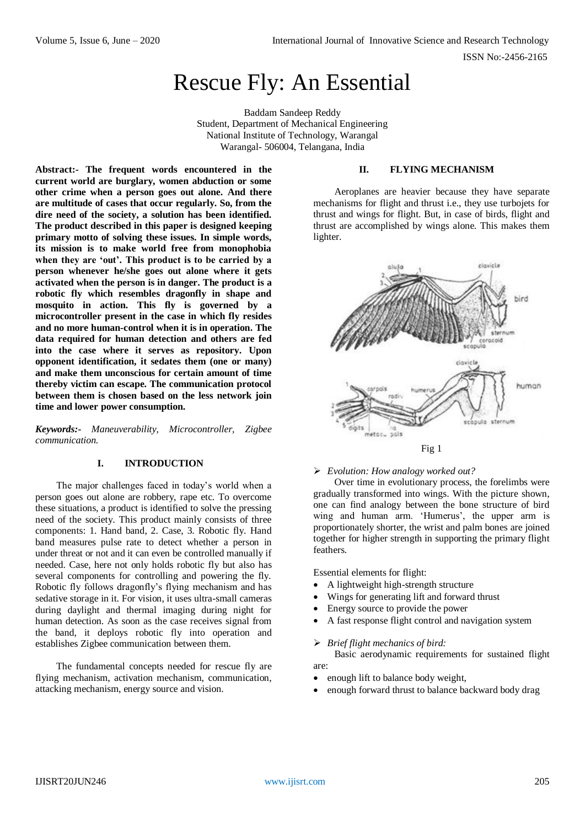ISSN No:-2456-2165

# Rescue Fly: An Essential

Baddam Sandeep Reddy Student, Department of Mechanical Engineering National Institute of Technology, Warangal Warangal- 506004, Telangana, India

**Abstract:- The frequent words encountered in the current world are burglary, women abduction or some other crime when a person goes out alone. And there are multitude of cases that occur regularly. So, from the dire need of the society, a solution has been identified. The product described in this paper is designed keeping primary motto of solving these issues. In simple words, its mission is to make world free from monophobia when they are 'out'. This product is to be carried by a person whenever he/she goes out alone where it gets activated when the person is in danger. The product is a robotic fly which resembles dragonfly in shape and mosquito in action. This fly is governed by a microcontroller present in the case in which fly resides and no more human-control when it is in operation. The data required for human detection and others are fed into the case where it serves as repository. Upon opponent identification, it sedates them (one or many) and make them unconscious for certain amount of time thereby victim can escape. The communication protocol between them is chosen based on the less network join time and lower power consumption.**

*Keywords:- Maneuverability, Microcontroller, Zigbee communication.*

# **I. INTRODUCTION**

The major challenges faced in today's world when a person goes out alone are robbery, rape etc. To overcome these situations, a product is identified to solve the pressing need of the society. This product mainly consists of three components: 1. Hand band, 2. Case, 3. Robotic fly. Hand band measures pulse rate to detect whether a person in under threat or not and it can even be controlled manually if needed. Case, here not only holds robotic fly but also has several components for controlling and powering the fly. Robotic fly follows dragonfly's flying mechanism and has sedative storage in it. For vision, it uses ultra-small cameras during daylight and thermal imaging during night for human detection. As soon as the case receives signal from the band, it deploys robotic fly into operation and establishes Zigbee communication between them.

The fundamental concepts needed for rescue fly are flying mechanism, activation mechanism, communication, attacking mechanism, energy source and vision.

## **II. FLYING MECHANISM**

Aeroplanes are heavier because they have separate mechanisms for flight and thrust i.e., they use turbojets for thrust and wings for flight. But, in case of birds, flight and thrust are accomplished by wings alone. This makes them lighter.



## *Evolution: How analogy worked out?*

Over time in evolutionary process, the forelimbs were gradually transformed into wings. With the picture shown, one can find analogy between the bone structure of bird wing and human arm. 'Humerus', the upper arm is proportionately shorter, the wrist and palm bones are joined together for higher strength in supporting the primary flight feathers.

Essential elements for flight:

- A lightweight high-strength structure
- Wings for generating lift and forward thrust
- Energy source to provide the power
- A fast response flight control and navigation system

*Brief flight mechanics of bird:*

Basic aerodynamic requirements for sustained flight are:

- enough lift to balance body weight,
- enough forward thrust to balance backward body drag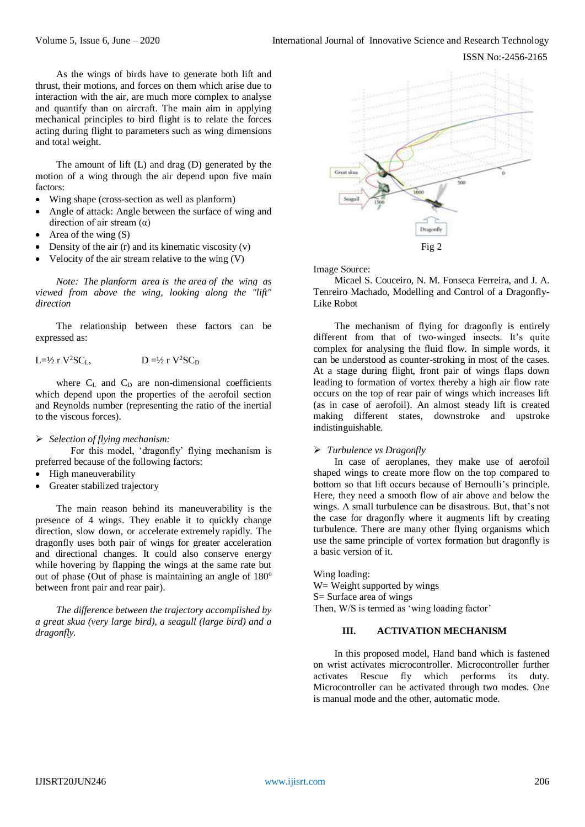ISSN No:-2456-2165

As the wings of birds have to generate both lift and thrust, their motions, and forces on them which arise due to interaction with the air, are much more complex to analyse and quantify than on aircraft. The main aim in applying mechanical principles to bird flight is to relate the forces acting during flight to parameters such as wing dimensions and total weight.

The amount of lift (L) and drag (D) generated by the motion of a wing through the air depend upon five main factors:

- Wing shape (cross-section as well as planform)
- Angle of attack: Angle between the surface of wing and direction of air stream  $(\alpha)$
- Area of the wing (S)
- Density of the air (r) and its kinematic viscosity (v)
- Velocity of the air stream relative to the wing (V)

*Note: The planform area is the area of the wing as viewed from above the wing, looking along the "lift" direction*

The relationship between these factors can be expressed as:

$$
L=\frac{1}{2}r V^2 SC_L, \qquad D = \frac{1}{2}r V^2 SC_D
$$

where  $C_L$  and  $C_D$  are non-dimensional coefficients which depend upon the properties of the aerofoil section and Reynolds number (representing the ratio of the inertial to the viscous forces).

### *Selection of flying mechanism:*

For this model, 'dragonfly' flying mechanism is preferred because of the following factors:

- High maneuverability
- Greater stabilized trajectory

The main reason behind its maneuverability is the presence of 4 wings. They enable it to quickly change direction, slow down, or accelerate extremely rapidly. The dragonfly uses both pair of wings for greater acceleration and directional changes. It could also conserve energy while hovering by flapping the wings at the same rate but out of phase (Out of phase is maintaining an angle of  $180^\circ$ between front pair and rear pair).

*The difference between the trajectory accomplished by a great skua (very large bird), a seagull (large bird) and a dragonfly.*



Image Source:

Micael S. Couceiro, N. M. Fonseca Ferreira, and J. A. Tenreiro Machado, Modelling and Control of a Dragonfly-Like Robot

The mechanism of flying for dragonfly is entirely different from that of two-winged insects. It's quite complex for analysing the fluid flow. In simple words, it can be understood as counter-stroking in most of the cases. At a stage during flight, front pair of wings flaps down leading to formation of vortex thereby a high air flow rate occurs on the top of rear pair of wings which increases lift (as in case of aerofoil). An almost steady lift is created making different states, downstroke and upstroke indistinguishable.

# *Turbulence vs Dragonfly*

In case of aeroplanes, they make use of aerofoil shaped wings to create more flow on the top compared to bottom so that lift occurs because of Bernoulli's principle. Here, they need a smooth flow of air above and below the wings. A small turbulence can be disastrous. But, that's not the case for dragonfly where it augments lift by creating turbulence. There are many other flying organisms which use the same principle of vortex formation but dragonfly is a basic version of it.

Wing loading: W = Weight supported by wings S= Surface area of wings Then, W/S is termed as 'wing loading factor'

# **III. ACTIVATION MECHANISM**

In this proposed model, Hand band which is fastened on wrist activates microcontroller. Microcontroller further activates Rescue fly which performs its duty. Microcontroller can be activated through two modes. One is manual mode and the other, automatic mode.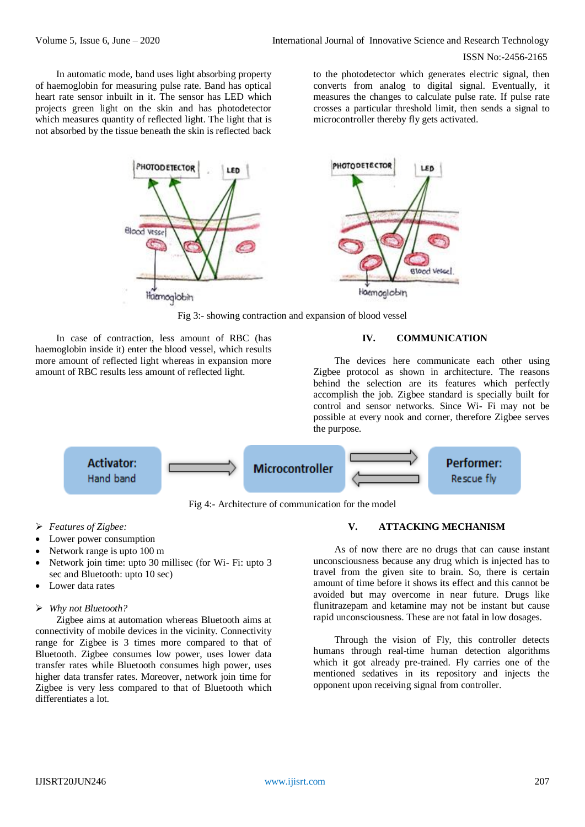#### ISSN No:-2456-2165

In automatic mode, band uses light absorbing property of haemoglobin for measuring pulse rate. Band has optical heart rate sensor inbuilt in it. The sensor has LED which projects green light on the skin and has photodetector which measures quantity of reflected light. The light that is not absorbed by the tissue beneath the skin is reflected back

to the photodetector which generates electric signal, then converts from analog to digital signal. Eventually, it measures the changes to calculate pulse rate. If pulse rate crosses a particular threshold limit, then sends a signal to microcontroller thereby fly gets activated.



Fig 3:- showing contraction and expansion of blood vessel

In case of contraction, less amount of RBC (has haemoglobin inside it) enter the blood vessel, which results more amount of reflected light whereas in expansion more amount of RBC results less amount of reflected light.

# **IV. COMMUNICATION**

The devices here communicate each other using Zigbee protocol as shown in architecture. The reasons behind the selection are its features which perfectly accomplish the job. Zigbee standard is specially built for control and sensor networks. Since Wi- Fi may not be possible at every nook and corner, therefore Zigbee serves the purpose.



Fig 4:- Architecture of communication for the model

- *Features of Zigbee:*
- Lower power consumption
- Network range is upto 100 m
- Network join time: upto 30 millisec (for Wi- Fi: upto 3 sec and Bluetooth: upto 10 sec)
- Lower data rates

# *Why not Bluetooth?*

Zigbee aims at automation whereas Bluetooth aims at connectivity of mobile devices in the vicinity. Connectivity range for Zigbee is 3 times more compared to that of Bluetooth. Zigbee consumes low power, uses lower data transfer rates while Bluetooth consumes high power, uses higher data transfer rates. Moreover, network join time for Zigbee is very less compared to that of Bluetooth which differentiates a lot.

# **V. ATTACKING MECHANISM**

As of now there are no drugs that can cause instant unconsciousness because any drug which is injected has to travel from the given site to brain. So, there is certain amount of time before it shows its effect and this cannot be avoided but may overcome in near future. Drugs like flunitrazepam and ketamine may not be instant but cause rapid unconsciousness. These are not fatal in low dosages.

Through the vision of Fly, this controller detects humans through real-time human detection algorithms which it got already pre-trained. Fly carries one of the mentioned sedatives in its repository and injects the opponent upon receiving signal from controller.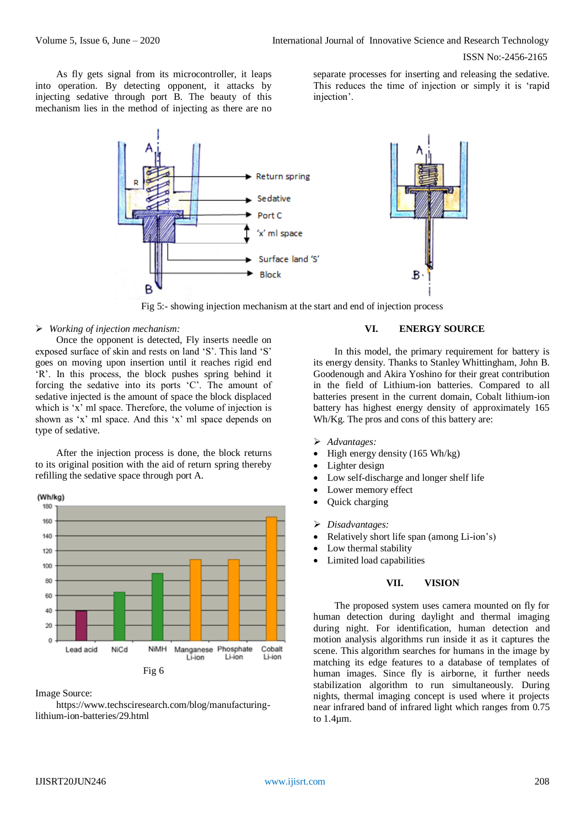ISSN No:-2456-2165

As fly gets signal from its microcontroller, it leaps into operation. By detecting opponent, it attacks by injecting sedative through port B. The beauty of this mechanism lies in the method of injecting as there are no

separate processes for inserting and releasing the sedative. This reduces the time of injection or simply it is 'rapid injection'.



Fig 5:- showing injection mechanism at the start and end of injection process

# *Working of injection mechanism:*

Once the opponent is detected, Fly inserts needle on exposed surface of skin and rests on land 'S'. This land 'S' goes on moving upon insertion until it reaches rigid end 'R'. In this process, the block pushes spring behind it forcing the sedative into its ports 'C'. The amount of sedative injected is the amount of space the block displaced which is 'x' ml space. Therefore, the volume of injection is shown as 'x' ml space. And this 'x' ml space depends on type of sedative.

After the injection process is done, the block returns to its original position with the aid of return spring thereby refilling the sedative space through port A.



Image Source:

https://www.techsciresearch.com/blog/manufacturinglithium-ion-batteries/29.html

# **VI. ENERGY SOURCE**

In this model, the primary requirement for battery is its energy density. Thanks to Stanley Whittingham, John B. Goodenough and Akira Yoshino for their great contribution in the field of Lithium-ion batteries. Compared to all batteries present in the current domain, Cobalt lithium-ion battery has highest energy density of approximately 165 Wh/Kg. The pros and cons of this battery are:

- *Advantages:*
- High energy density (165 Wh/kg)
- Lighter design
- Low self-discharge and longer shelf life
- Lower memory effect
- Quick charging
- *Disadvantages:*
- Relatively short life span (among Li-ion's)
	- Low thermal stability
- Limited load capabilities

# **VII. VISION**

The proposed system uses camera mounted on fly for human detection during daylight and thermal imaging during night. For identification, human detection and motion analysis algorithms run inside it as it captures the scene. This algorithm searches for humans in the image by matching its edge features to a database of templates of human images. Since fly is airborne, it further needs stabilization algorithm to run simultaneously. During nights, thermal imaging concept is used where it projects near infrared band of infrared light which ranges from 0.75 to 1.4µm.